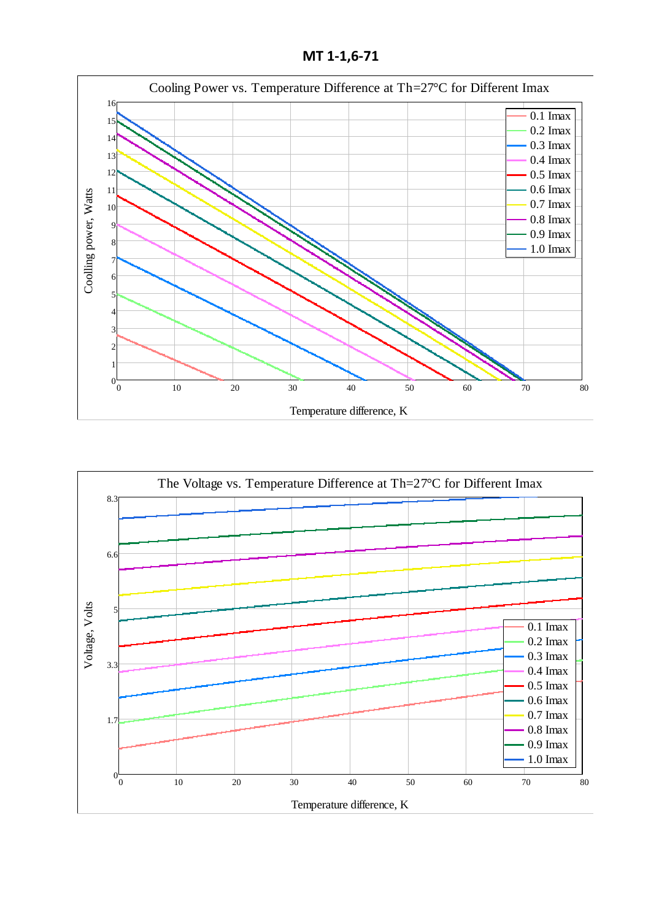**МТ 1-1,6-71**